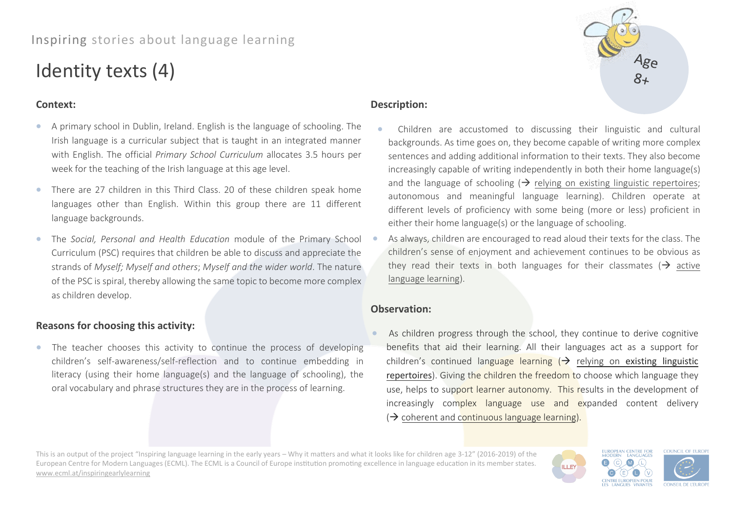# Inspiring stories about language learning

# Identity texts (4)

## **Context:**

- A primary school in Dublin, Ireland. English is the language of schooling. The Irish language is a curricular subject that is taught in an integrated manner with English. The official *Primary School Curriculum* allocates 3.5 hours per week for the teaching of the Irish language at this age level.
- There are 27 children in this Third Class. 20 of these children speak home languages other than English. Within this group there are 11 different language backgrounds.
- The *Social, Personal and Health Education* module of the Primary School Curriculum (PSC) requires that children be able to discuss and appreciate the strands of *Myself; Myself and others*; *Myself and the wider world*. The nature of the PSC is spiral, thereby allowing the same topic to become more complex as children develop.

# **Reasons for choosing this activity:**

• The teacher chooses this activity to continue the process of developing children's self-awareness/self-reflection and to continue embedding in literacy (using their home language(s) and the language of schooling), the oral vocabulary and phrase structures they are in the process of learning.

### **Description:**

- Children are accustomed to discussing their linguistic and cultural backgrounds. As time goes on, they become capable of writing more complex sentences and adding additional information to their texts. They also become increasingly capable of writing independently in both their home language(s) and the language of schooling  $\rightarrow$  relying on existing linguistic repertoires; autonomous and meaningful language learning). Children operate at different levels of proficiency with some being (more or less) proficient in either their home language(s) or the language of schooling.
- As always, children are encouraged to read aloud their texts for the class. The children's sense of enjoyment and achievement continues to be obvious as they read their texts in both languages for their classmates ( $\rightarrow$  active language learning).

### **Observation:**

• As children progress through the school, they continue to derive cognitive benefits that aid their learning. All their languages act as a support for children's continued language learning  $\rightarrow$  relying on existing linguistic repertoires). Giving the children the freedom to choose which language they use, helps to support learner autonomy. This results in the development of increasingly complex language use and expanded content delivery (→ coherent and continuous language learning).

This is an output of the project "Inspiring language learning in the early years – Why it matters and what it looks like for children age 3-12" (2016-2019) of the European Centre for Modern Languages (ECML). The ECML is a Council of Europe institution promoting excellence in language education in its member states. [www.ecml.at/inspiringearlylearning](http://www.ecml.at/inspiringearlylearning)